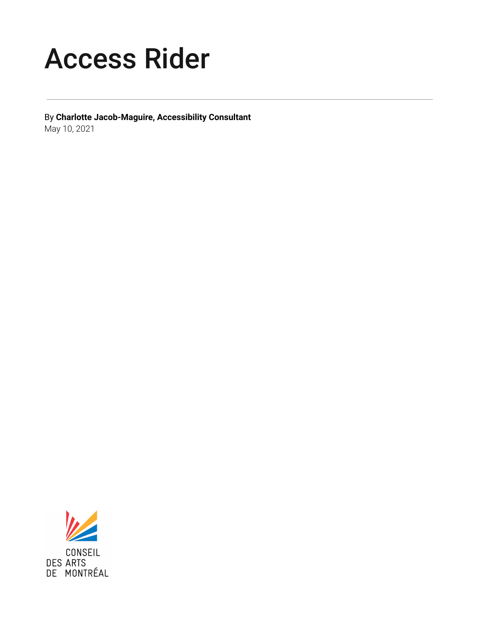# Access Rider

By **Charlotte Jacob-Maguire, Accessibility Consultant** May 10, 2021



CONSEIL **DES ARTS** DE MONTRÉAL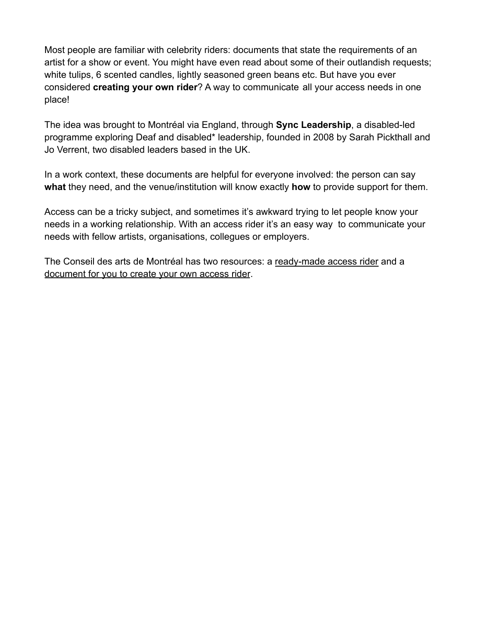Most people are familiar with celebrity riders: documents that state the requirements of an artist for a show or event. You might have even read about some of their outlandish requests; white tulips, 6 scented candles, lightly seasoned green beans etc. But have you ever considered **creating your own rider**? A way to communicate all your access needs in one place!

The idea was brought to Montréal via England, through **Sync Leadership**, a disabled-led programme exploring Deaf and disabled\* leadership, founded in 2008 by Sarah Pickthall and Jo Verrent, two disabled leaders based in the UK.

In a work context, these documents are helpful for everyone involved: the person can say **what** they need, and the venue/institution will know exactly **how** to provide support for them.

Access can be a tricky subject, and sometimes it's awkward trying to let people know your needs in a working relationship. With an access rider it's an easy way to communicate your needs with fellow artists, organisations, collegues or employers.

The Conseil des arts de Montréal has two resources: a ready-made access rider and a document for you to create your own access rider.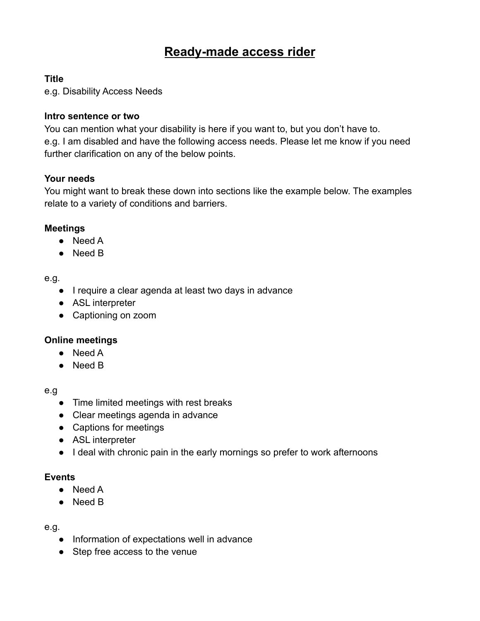# **Ready-made access rider**

#### **Title**

e.g. Disability Access Needs

#### **Intro sentence or two**

You can mention what your disability is here if you want to, but you don't have to. e.g. I am disabled and have the following access needs. Please let me know if you need further clarification on any of the below points.

#### **Your needs**

You might want to break these down into sections like the example below. The examples relate to a variety of conditions and barriers.

#### **Meetings**

- Need A
- Need B

#### e.g.

- I require a clear agenda at least two days in advance
- ASL interpreter
- Captioning on zoom

#### **Online meetings**

- Need A
- Need B

#### e.g

- Time limited meetings with rest breaks
- Clear meetings agenda in advance
- Captions for meetings
- ASL interpreter
- I deal with chronic pain in the early mornings so prefer to work afternoons

#### **Events**

- Need A
- Need B

#### e.g.

- Information of expectations well in advance
- Step free access to the venue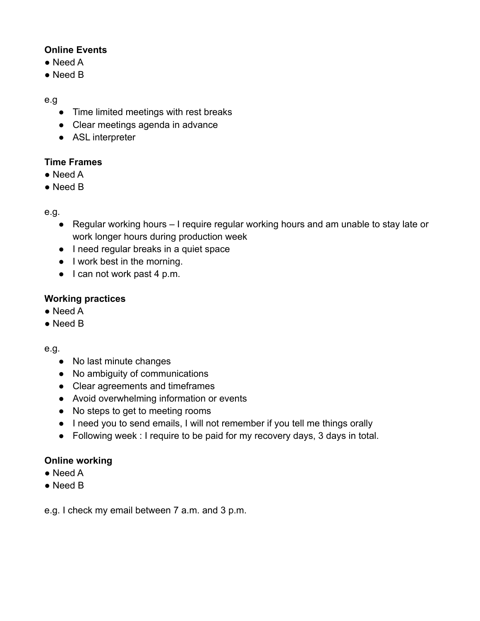#### **Online Events**

- Need A
- Need B

#### e.g

- Time limited meetings with rest breaks
- Clear meetings agenda in advance
- ASL interpreter

## **Time Frames**

- Need A
- Need B

#### e.g.

- Regular working hours I require regular working hours and am unable to stay late or work longer hours during production week
- I need regular breaks in a quiet space
- I work best in the morning.
- I can not work past 4 p.m.

## **Working practices**

- Need A
- Need B

e.g.

- No last minute changes
- No ambiguity of communications
- Clear agreements and timeframes
- Avoid overwhelming information or events
- No steps to get to meeting rooms
- I need you to send emails, I will not remember if you tell me things orally
- Following week : I require to be paid for my recovery days, 3 days in total.

## **Online working**

- Need A
- Need B

e.g. I check my email between 7 a.m. and 3 p.m.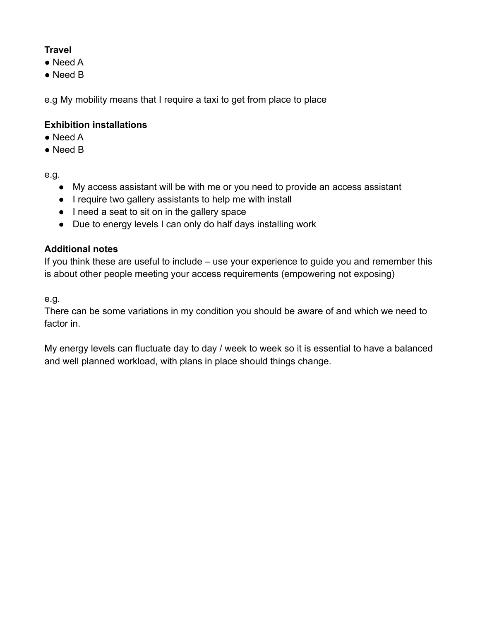# **Travel**

- Need A
- Need B

e.g My mobility means that I require a taxi to get from place to place

#### **Exhibition installations**

- $\bullet$  Need A
- Need B

e.g.

- My access assistant will be with me or you need to provide an access assistant
- I require two gallery assistants to help me with install
- I need a seat to sit on in the gallery space
- Due to energy levels I can only do half days installing work

#### **Additional notes**

If you think these are useful to include – use your experience to guide you and remember this is about other people meeting your access requirements (empowering not exposing)

e.g.

There can be some variations in my condition you should be aware of and which we need to factor in.

My energy levels can fluctuate day to day / week to week so it is essential to have a balanced and well planned workload, with plans in place should things change.